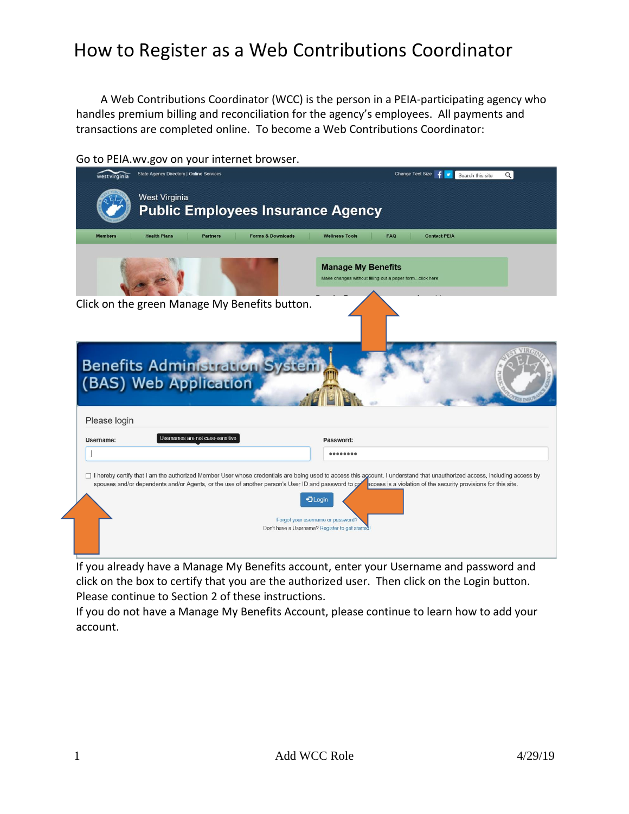A Web Contributions Coordinator (WCC) is the person in a PEIA-participating agency who handles premium billing and reconciliation for the agency's employees. All payments and transactions are completed online. To become a Web Contributions Coordinator:

|                | State Agency Directory   Online Services                               | Change Text Size<br>Q<br>Search this site                                            |
|----------------|------------------------------------------------------------------------|--------------------------------------------------------------------------------------|
|                | <b>West Virginia</b><br><b>Public Employees Insurance Agency</b>       |                                                                                      |
| <b>Members</b> | <b>Health Plans</b><br><b>Partners</b><br><b>Forms &amp; Downloads</b> | <b>FAQ</b><br><b>Contact PEIA</b><br><b>Wellness Tools</b>                           |
|                |                                                                        | <b>Manage My Benefits</b><br>Make changes without filling out a paper formclick here |
|                | Click on the green Manage My Benefits button.                          |                                                                                      |
|                | Benefits Administration S<br>(BAS) Web Application                     |                                                                                      |
| Please login   |                                                                        |                                                                                      |
| Username:      | Usernames are not case-sensitive                                       | Password:                                                                            |
|                |                                                                        | 00000000                                                                             |
|                |                                                                        |                                                                                      |

Go to PEIA.wv.gov on your internet browser.

If you already have a Manage My Benefits account, enter your Username and password and click on the box to certify that you are the authorized user. Then click on the Login button. Please continue to Section 2 of these instructions.

If you do not have a Manage My Benefits Account, please continue to learn how to add your account.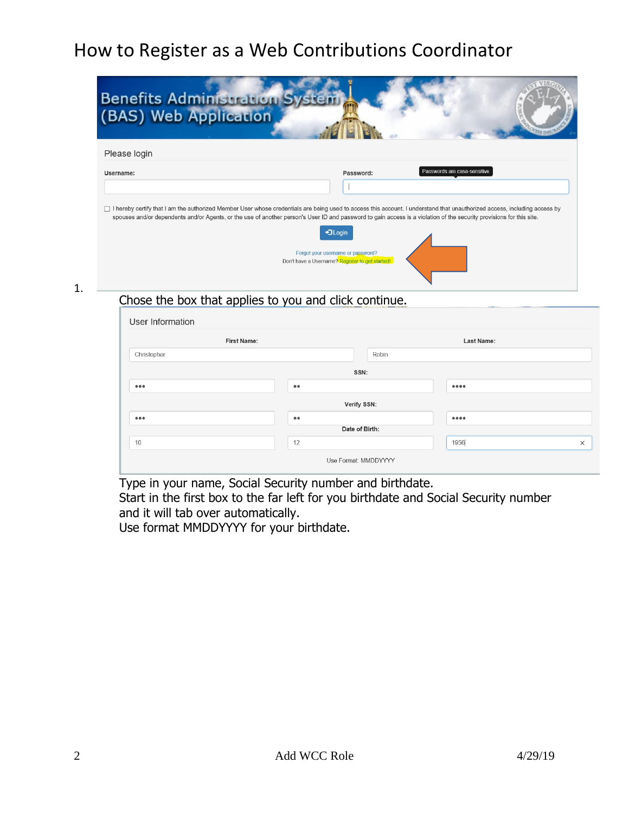| <b>Benefits Administration</b><br>(BAS) Web Application |                                                                                                  |                                                                                                                                                                                                             |
|---------------------------------------------------------|--------------------------------------------------------------------------------------------------|-------------------------------------------------------------------------------------------------------------------------------------------------------------------------------------------------------------|
| Please login                                            |                                                                                                  |                                                                                                                                                                                                             |
| Username:                                               | Password:                                                                                        | Passwords are case-sensitive<br>□ I hereby certify that I am the authorized Member User whose credentials are being used to access this account. I understand that unauthorized access, including access by |
|                                                         | +3 Login<br>Forgot your username or password?<br>Don't have a Username? Register to get started! | spouses and/or dependents and/or Agents, or the use of another person's User ID and password to gain access is a violation of the security provisions for this site.                                        |
|                                                         | Chosa tha hov that annlias to you and click continue                                             |                                                                                                                                                                                                             |

#### 1.

#### Chose the box that applies to you and click continue.

| User Information        |                      |       |                   |          |
|-------------------------|----------------------|-------|-------------------|----------|
| <b>First Name:</b>      |                      |       | <b>Last Name:</b> |          |
| Christopher             |                      | Robin |                   |          |
|                         | SSN:                 |       |                   |          |
| $\bullet\bullet\bullet$ | $\bullet\bullet$     |       |                   |          |
|                         | Verify SSN:          |       |                   |          |
| $\bullet\bullet\bullet$ | $\bullet\bullet$     |       |                   |          |
|                         | Date of Birth:       |       |                   |          |
| 10                      | 12                   |       | 1956              | $\times$ |
|                         | Use Format: MMDDYYYY |       |                   |          |

Type in your name, Social Security number and birthdate.

Start in the first box to the far left for you birthdate and Social Security number and it will tab over automatically.

Use format MMDDYYYY for your birthdate.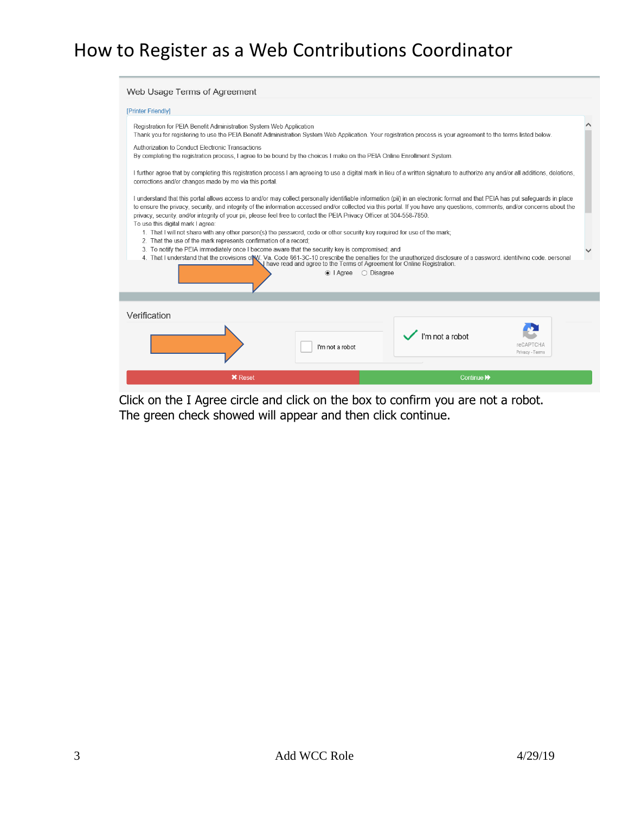| Web Usage Terms of Agreement                                                                                                                                                                                                                                                                                                                                                        |  |
|-------------------------------------------------------------------------------------------------------------------------------------------------------------------------------------------------------------------------------------------------------------------------------------------------------------------------------------------------------------------------------------|--|
| [Printer Friendly]                                                                                                                                                                                                                                                                                                                                                                  |  |
| Registration for PEIA Benefit Administration System Web Application<br>Thank you for registering to use the PEIA Benefit Administration System Web Application. Your registration process is your agreement to the terms listed below.                                                                                                                                              |  |
| Authorization to Conduct Electronic Transactions<br>By completing the registration process, I agree to be bound by the choices I make on the PEIA Online Enrollment System.                                                                                                                                                                                                         |  |
| I further agree that by completing this registration process I am agreeing to use a digital mark in lieu of a written signature to authorize any and/or all additions, deletions,<br>corrections and/or changes made by me via this portal.                                                                                                                                         |  |
| I understand that this portal allows access to and/or may collect personally identifiable information (pii) in an electronic format and that PEIA has put safeguards in place<br>to ensure the privacy, security, and integrity of the information accessed and/or collected via this portal. If you have any questions, comments, and/or concerns about the                        |  |
| privacy, security, and/or integrity of your pii, please feel free to contact the PEIA Privacy Officer at 304-558-7850.<br>To use this digital mark I agree:<br>1. That I will not share with any other person(s) the password, code or other security key required for use of the mark;<br>2. That the use of the mark represents confirmation of a record:                         |  |
| 3. To notify the PEIA immediately once I become aware that the security key is compromised; and<br>4. That I understand that the provisions of V. Va. Code 661-3C-10 prescribe the penalties for the unauthorized disclosure of a password, identifying code, personal<br>I have read and agree to the Terms of Agreement for Online Registration.<br>$\odot$   Agree<br>○ Disagree |  |
|                                                                                                                                                                                                                                                                                                                                                                                     |  |
| Verification                                                                                                                                                                                                                                                                                                                                                                        |  |
| I'm not a robot<br>reCAPTCHA<br>I'm not a robot<br>Privacy - Terms                                                                                                                                                                                                                                                                                                                  |  |
| <b>X</b> Reset<br>Continue <sup>1</sup>                                                                                                                                                                                                                                                                                                                                             |  |

Click on the I Agree circle and click on the box to confirm you are not a robot. The green check showed will appear and then click continue.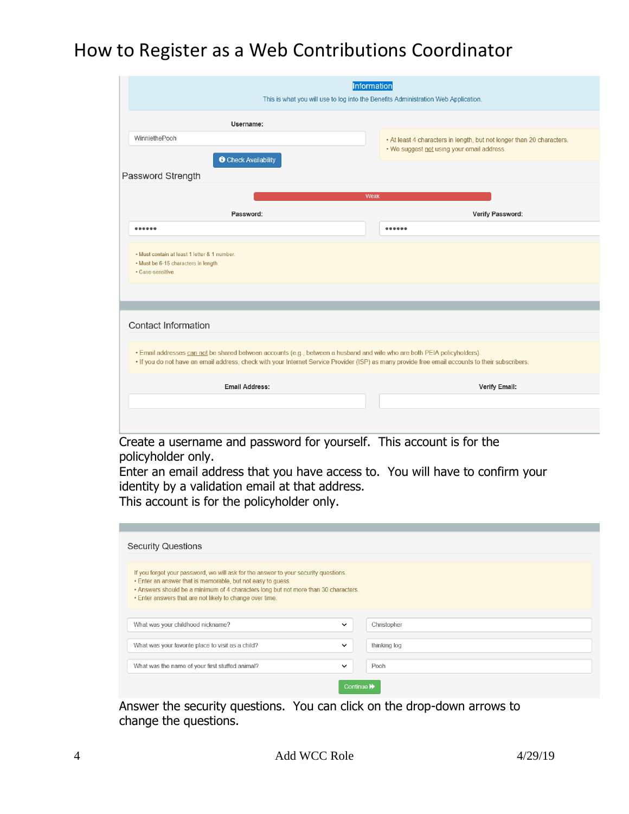| Information<br>This is what you will use to log into the Benefits Administration Web Application.                                                                                                                                                                            |                                                                       |
|------------------------------------------------------------------------------------------------------------------------------------------------------------------------------------------------------------------------------------------------------------------------------|-----------------------------------------------------------------------|
| Username:                                                                                                                                                                                                                                                                    |                                                                       |
| WinniethePooh                                                                                                                                                                                                                                                                | • At least 4 characters in length, but not longer than 20 characters. |
| <b>O</b> Check Availability                                                                                                                                                                                                                                                  | . We suggest not using your email address.                            |
| Password Strength                                                                                                                                                                                                                                                            |                                                                       |
|                                                                                                                                                                                                                                                                              | Weak                                                                  |
| Password:                                                                                                                                                                                                                                                                    | Verify Password:                                                      |
|                                                                                                                                                                                                                                                                              |                                                                       |
| · Must contain at least 1 letter & 1 number.<br>• Must be 6-15 characters in length.<br>· Case-sensitive.                                                                                                                                                                    |                                                                       |
| <b>Contact Information</b>                                                                                                                                                                                                                                                   |                                                                       |
| . Email addresses can not be shared between accounts (e.g., between a husband and wife who are both PEIA policyholders).<br>. If you do not have an email address, check with your Internet Service Provider (ISP) as many provide free email accounts to their subscribers. |                                                                       |
| Email Address:                                                                                                                                                                                                                                                               | Verify Email:                                                         |
|                                                                                                                                                                                                                                                                              |                                                                       |
|                                                                                                                                                                                                                                                                              |                                                                       |

Create a username and password for yourself. This account is for the policyholder only.

Enter an email address that you have access to. You will have to confirm your identity by a validation email at that address. This account is for the policyholder only.

| <b>Security Questions</b>                                                                                                                                                                                                                                                                             |              |              |
|-------------------------------------------------------------------------------------------------------------------------------------------------------------------------------------------------------------------------------------------------------------------------------------------------------|--------------|--------------|
| If you forget your password, we will ask for the answer to your security questions.<br>• Enter an answer that is memorable, but not easy to quess.<br>. Answers should be a minimum of 4 characters long but not more than 30 characters.<br>. Enter answers that are not likely to change over time. |              |              |
| What was your childhood nickname?                                                                                                                                                                                                                                                                     | $\checkmark$ | Christopher  |
| What was your favorite place to visit as a child?                                                                                                                                                                                                                                                     | $\checkmark$ | thinking log |
| What was the name of your first stuffed animal?                                                                                                                                                                                                                                                       | $\checkmark$ | Pooh         |
|                                                                                                                                                                                                                                                                                                       | Continue D   |              |

Answer the security questions. You can click on the drop-down arrows to change the questions.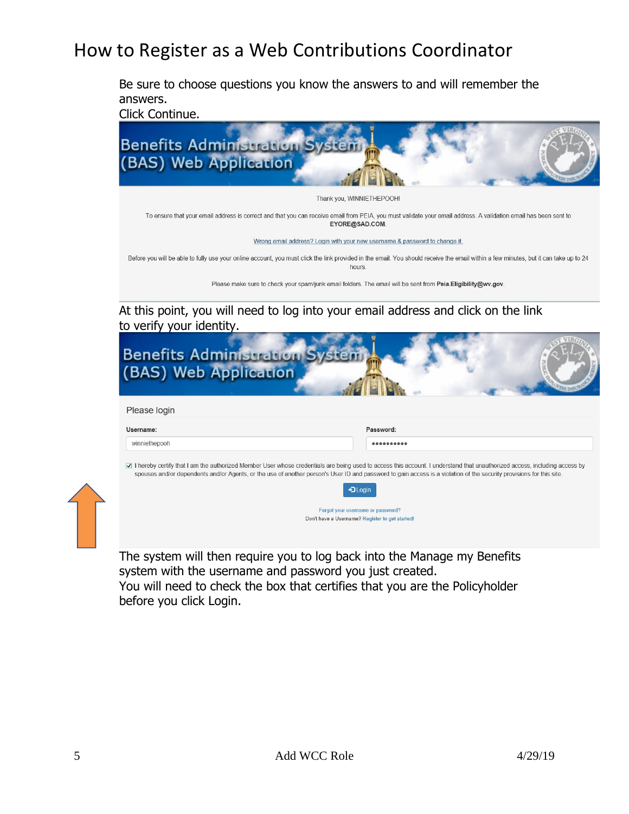Be sure to choose questions you know the answers to and will remember the answers.

Click Continue.



| <b>Benefits Administration</b><br>(BAS) Web Application |                                                                                                                                                                                                                                                                                                                                                                                                           |
|---------------------------------------------------------|-----------------------------------------------------------------------------------------------------------------------------------------------------------------------------------------------------------------------------------------------------------------------------------------------------------------------------------------------------------------------------------------------------------|
|                                                         |                                                                                                                                                                                                                                                                                                                                                                                                           |
| Please login                                            |                                                                                                                                                                                                                                                                                                                                                                                                           |
| Username:                                               | Password:                                                                                                                                                                                                                                                                                                                                                                                                 |
| winniethepooh                                           |                                                                                                                                                                                                                                                                                                                                                                                                           |
|                                                         | ☑ I hereby certify that I am the authorized Member User whose credentials are being used to access this account. I understand that unauthorized access, including access by<br>spouses and/or dependents and/or Agents, or the use of another person's User ID and password to gain access is a violation of the security provisions for this site.<br>$\n  Quain\n$<br>Forgot your username or password? |
|                                                         | Don't have a Username? Register to get started!                                                                                                                                                                                                                                                                                                                                                           |

The system will then require you to log back into the Manage my Benefits system with the username and password you just created. You will need to check the box that certifies that you are the Policyholder before you click Login.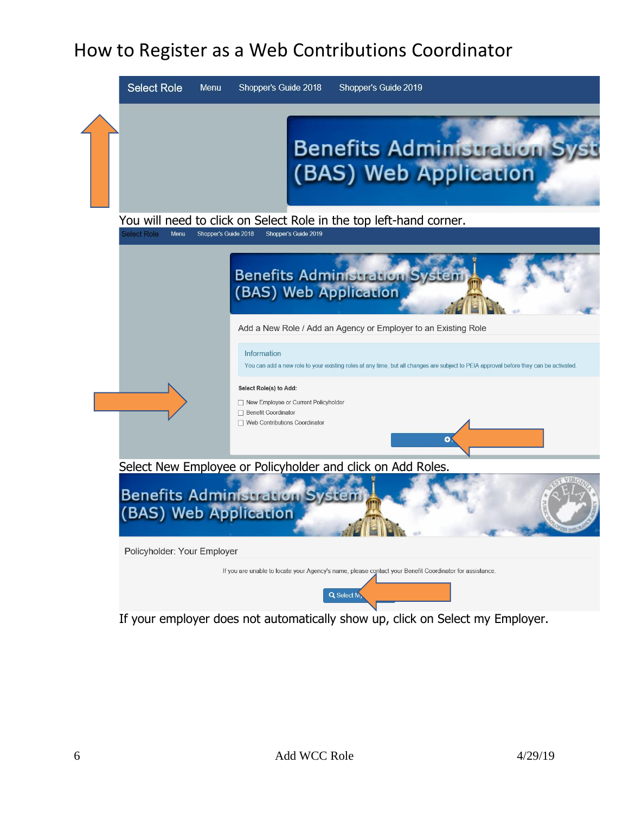

If your employer does not automatically show up, click on Select my Employer.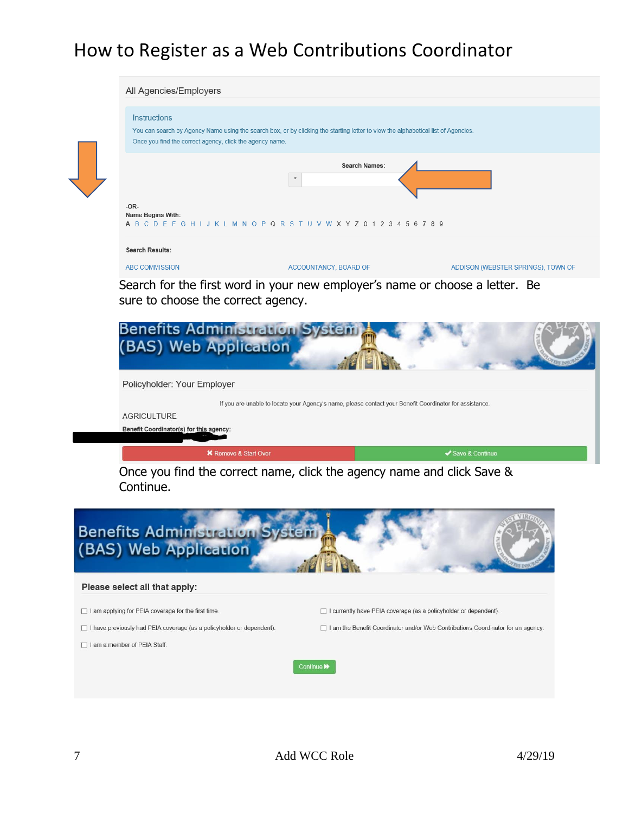| Instructions<br>Once you find the correct agency, click the agency name. | You can search by Agency Name using the search box, or by clicking the starting letter to view the alphabetical list of Agencies. |                                    |
|--------------------------------------------------------------------------|-----------------------------------------------------------------------------------------------------------------------------------|------------------------------------|
|                                                                          | <b>Search Names:</b><br>$\boldsymbol{\pi}$                                                                                        |                                    |
| $-OR-$<br>Name Begins With:                                              | A B C D E F G H I J K L M N O P Q R S T U V W X Y Z 0 1 2 3 4 5 6 7 8 9                                                           |                                    |
| <b>Search Results:</b>                                                   |                                                                                                                                   |                                    |
| <b>ABC COMMISSION</b>                                                    | ACCOUNTANCY, BOARD OF                                                                                                             | ADDISON (WEBSTER SPRINGS), TOWN OF |
| <u>Benefits Administration Sy</u><br>(BAS) Web Application               |                                                                                                                                   |                                    |
| Policyholder: Your Employer                                              |                                                                                                                                   |                                    |
|                                                                          | If you are unable to locate your Agency's name, please contact your Benefit Coordinator for assistance.                           |                                    |
| <b>AGRICULTURE</b>                                                       |                                                                                                                                   |                                    |
| Benefit Coordinator(s) for this agency:                                  |                                                                                                                                   |                                    |
| <b>*</b> Remove & Start Over                                             | Once you find the correct name, click the agency name and click Save &                                                            | ✔ Save & Continue                  |

#### Please select all that apply:

□ I am applying for PEIA coverage for the first time.

 $\Box$  I have previously had PEIA coverage (as a policyholder or dependent).

□ I currently have PEIA coverage (as a policyholder or dependent).

 $\Box$  I am the Benefit Coordinator and/or Web Contributions Coordinator for an agency.

 $\Box$  I am a member of PEIA Staff.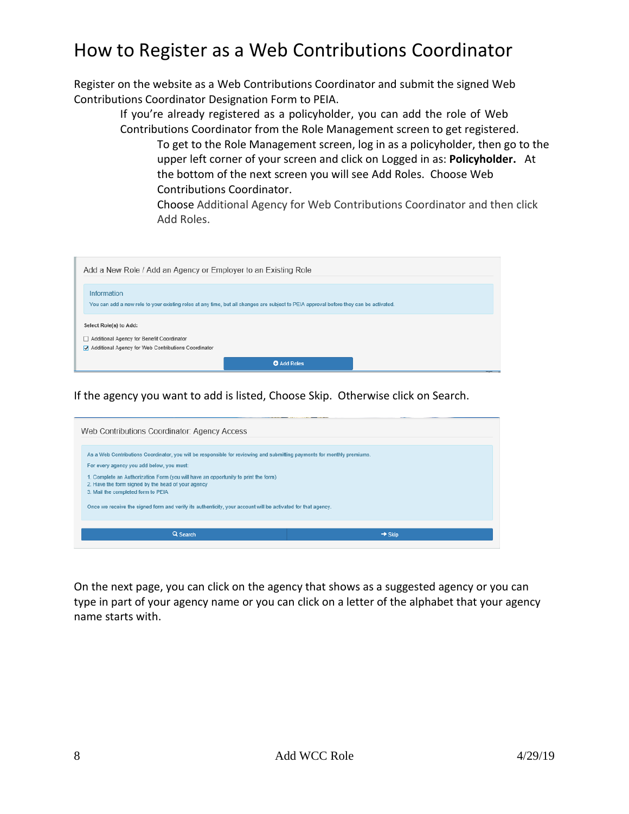Register on the website as a Web Contributions Coordinator and submit the signed Web Contributions Coordinator Designation Form to PEIA.

> If you're already registered as a policyholder, you can add the role of Web Contributions Coordinator from the Role Management screen to get registered.

To get to the Role Management screen, log in as a policyholder, then go to the upper left corner of your screen and click on Logged in as: **Policyholder.** At the bottom of the next screen you will see Add Roles. Choose Web Contributions Coordinator.

Choose Additional Agency for Web Contributions Coordinator and then click Add Roles.

| Add a New Role / Add an Agency or Employer to an Existing Role                                                                                       |
|------------------------------------------------------------------------------------------------------------------------------------------------------|
| Information<br>You can add a new role to your existing roles at any time, but all changes are subject to PEIA approval before they can be activated. |
| Select Role(s) to Add:<br>Additional Agency for Benefit Coordinator<br>Additional Agency for Web Contributions Coordinator                           |
| <b>O</b> Add Roles                                                                                                                                   |

If the agency you want to add is listed, Choose Skip. Otherwise click on Search.

| Web Contributions Coordinator: Agency Access                                                                                                                                   |                    |
|--------------------------------------------------------------------------------------------------------------------------------------------------------------------------------|--------------------|
| As a Web Contributions Coordinator, you will be responsible for reviewing and submitting payments for monthly premiums.<br>For every agency you add below, you must:           |                    |
| 1. Complete an Authorization Form (you will have an opportunity to print the form)<br>2. Have the form signed by the head of your agency<br>3. Mail the completed form to PEIA |                    |
| Once we receive the signed form and verify its authenticity, your account will be activated for that agency.                                                                   |                    |
| Q Search                                                                                                                                                                       | $\rightarrow$ Skip |

On the next page, you can click on the agency that shows as a suggested agency or you can type in part of your agency name or you can click on a letter of the alphabet that your agency name starts with.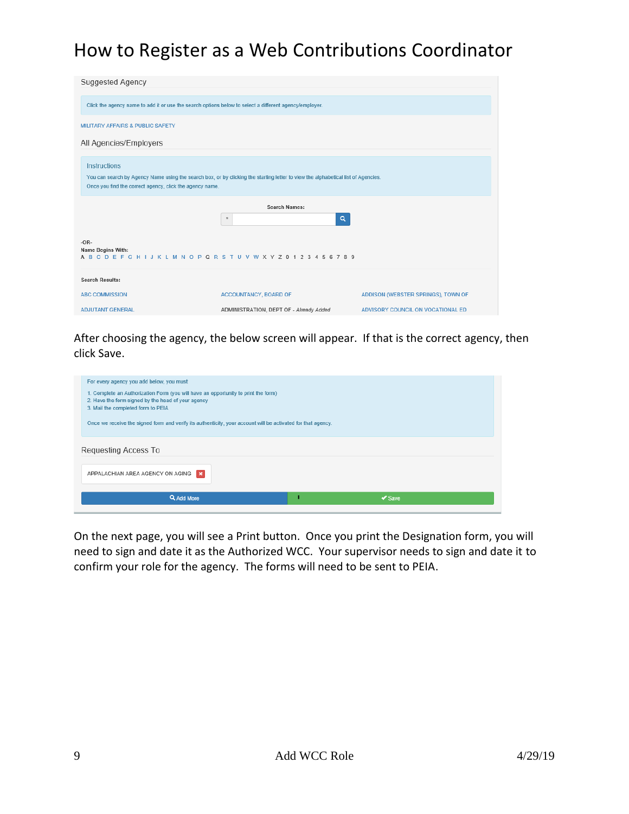| <b>Suggested Agency</b>                                                                                                                                                                                              |                                                                                                        |                                    |  |  |
|----------------------------------------------------------------------------------------------------------------------------------------------------------------------------------------------------------------------|--------------------------------------------------------------------------------------------------------|------------------------------------|--|--|
|                                                                                                                                                                                                                      | Click the agency name to add it or use the search options below to select a different agency/employer. |                                    |  |  |
| <b>MILITARY AFFAIRS &amp; PUBLIC SAFETY</b>                                                                                                                                                                          |                                                                                                        |                                    |  |  |
| All Agencies/Employers                                                                                                                                                                                               |                                                                                                        |                                    |  |  |
| <b>Instructions</b><br>You can search by Agency Name using the search box, or by clicking the starting letter to view the alphabetical list of Agencies.<br>Once you find the correct agency, click the agency name. |                                                                                                        |                                    |  |  |
|                                                                                                                                                                                                                      |                                                                                                        |                                    |  |  |
|                                                                                                                                                                                                                      | <b>Search Names:</b><br>$\alpha$<br>$\pmb{\ast}$                                                       |                                    |  |  |
| $-OR-$<br>Name Begins With:                                                                                                                                                                                          | A B C D E F G H I J K L M N O P Q R S T U V W X Y Z 0 1 2 3 4 5 6 7 8 9                                |                                    |  |  |
| <b>Search Results:</b>                                                                                                                                                                                               |                                                                                                        |                                    |  |  |
| <b>ABC COMMISSION</b>                                                                                                                                                                                                | ACCOUNTANCY, BOARD OF                                                                                  | ADDISON (WEBSTER SPRINGS), TOWN OF |  |  |

After choosing the agency, the below screen will appear. If that is the correct agency, then click Save.



On the next page, you will see a Print button. Once you print the Designation form, you will need to sign and date it as the Authorized WCC. Your supervisor needs to sign and date it to confirm your role for the agency. The forms will need to be sent to PEIA.